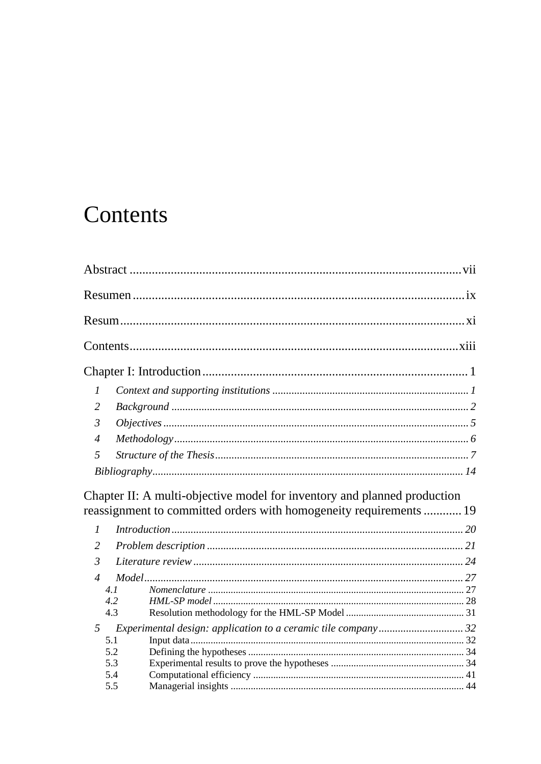## <span id="page-0-0"></span>Contents

| 1              |                                                                          |  |
|----------------|--------------------------------------------------------------------------|--|
| 2              |                                                                          |  |
| $\mathfrak{Z}$ |                                                                          |  |
| $\overline{4}$ |                                                                          |  |
| 5              |                                                                          |  |
|                |                                                                          |  |
|                |                                                                          |  |
|                | Chapter II: A multi-objective model for inventory and planned production |  |
|                | reassignment to committed orders with homogeneity requirements  19       |  |
| $\mathcal{I}$  |                                                                          |  |
| 2              |                                                                          |  |
| 3              |                                                                          |  |
| $\overline{4}$ |                                                                          |  |
|                | 4.1                                                                      |  |
|                | 4.2                                                                      |  |
|                | 4.3                                                                      |  |
| 5              | Experimental design: application to a ceramic tile company 32            |  |
|                | 5.1                                                                      |  |
|                | 5.2                                                                      |  |
|                | 5.3                                                                      |  |
|                | 5.4                                                                      |  |
|                | 5.5                                                                      |  |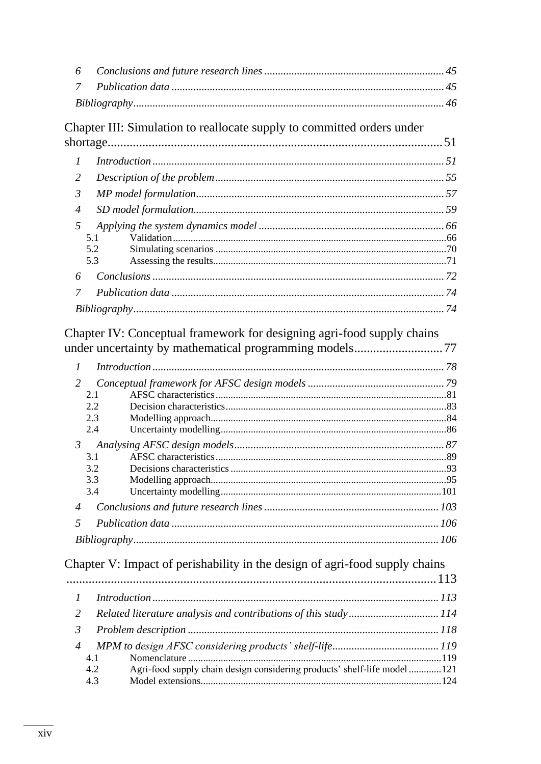| 6                |                                                                                                                                  |  |
|------------------|----------------------------------------------------------------------------------------------------------------------------------|--|
| 7                |                                                                                                                                  |  |
|                  |                                                                                                                                  |  |
|                  | Chapter III: Simulation to reallocate supply to committed orders under                                                           |  |
|                  |                                                                                                                                  |  |
| $\boldsymbol{l}$ |                                                                                                                                  |  |
| 2                |                                                                                                                                  |  |
| 3                |                                                                                                                                  |  |
| $\overline{4}$   |                                                                                                                                  |  |
| 5                |                                                                                                                                  |  |
|                  | 5.1                                                                                                                              |  |
|                  | 5.2<br>5.3                                                                                                                       |  |
| 6                |                                                                                                                                  |  |
| 7                |                                                                                                                                  |  |
|                  |                                                                                                                                  |  |
| $\mathcal{I}$    | Chapter IV: Conceptual framework for designing agri-food supply chains<br>under uncertainty by mathematical programming models77 |  |
| 2                |                                                                                                                                  |  |
|                  | 2.1<br>2.2                                                                                                                       |  |
|                  | 2.3                                                                                                                              |  |
|                  | 2.4                                                                                                                              |  |
| $\mathfrak{Z}$   |                                                                                                                                  |  |
|                  | 3.1<br>3.2                                                                                                                       |  |
|                  | 3.3                                                                                                                              |  |
|                  | 3.4                                                                                                                              |  |
| $\overline{4}$   |                                                                                                                                  |  |
| 5                |                                                                                                                                  |  |
|                  |                                                                                                                                  |  |
|                  | Chapter V: Impact of perishability in the design of agri-food supply chains                                                      |  |
|                  |                                                                                                                                  |  |
| $\mathcal{I}$    |                                                                                                                                  |  |
| 2                | Related literature analysis and contributions of this study114                                                                   |  |
| $\mathfrak{Z}$   |                                                                                                                                  |  |
| $\overline{4}$   |                                                                                                                                  |  |
|                  | 4.1                                                                                                                              |  |
|                  | Agri-food supply chain design considering products' shelf-life model121<br>4.2<br>4.3                                            |  |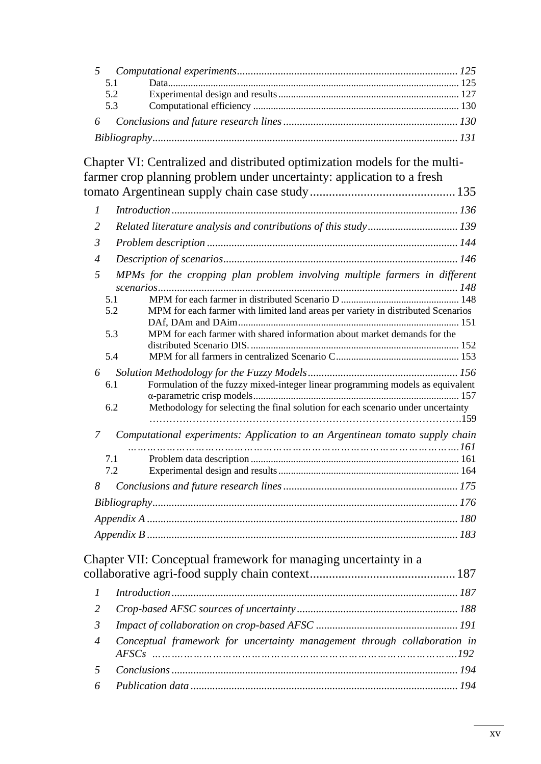|  | 5.1 |  |  |  |
|--|-----|--|--|--|
|  | 5.2 |  |  |  |
|  | 5.3 |  |  |  |
|  |     |  |  |  |
|  |     |  |  |  |

Chapter VI: Centralized and distributed optimization models for the multifarmer crop planning problem under uncertainty: application to a fresh tomato Argentinean supply chain case study.............................................. 135

| $\mathcal{I}$  |                                                                                                                                                                                                                                                                                                                                                                                                                                                            |  |
|----------------|------------------------------------------------------------------------------------------------------------------------------------------------------------------------------------------------------------------------------------------------------------------------------------------------------------------------------------------------------------------------------------------------------------------------------------------------------------|--|
| $\overline{2}$ | Related literature analysis and contributions of this study 139                                                                                                                                                                                                                                                                                                                                                                                            |  |
| $\mathfrak{Z}$ |                                                                                                                                                                                                                                                                                                                                                                                                                                                            |  |
| $\overline{4}$ |                                                                                                                                                                                                                                                                                                                                                                                                                                                            |  |
| 5<br>6         | MPMs for the cropping plan problem involving multiple farmers in different<br>5.1<br>5.2<br>MPM for each farmer with limited land areas per variety in distributed Scenarios<br>MPM for each farmer with shared information about market demands for the<br>5.3<br>5.4<br>Formulation of the fuzzy mixed-integer linear programming models as equivalent<br>6.1<br>Methodology for selecting the final solution for each scenario under uncertainty<br>6.2 |  |
| $\overline{7}$ | Computational experiments: Application to an Argentinean tomato supply chain                                                                                                                                                                                                                                                                                                                                                                               |  |
|                | 7.1                                                                                                                                                                                                                                                                                                                                                                                                                                                        |  |
|                | 7.2                                                                                                                                                                                                                                                                                                                                                                                                                                                        |  |
| 8              |                                                                                                                                                                                                                                                                                                                                                                                                                                                            |  |
|                |                                                                                                                                                                                                                                                                                                                                                                                                                                                            |  |
|                |                                                                                                                                                                                                                                                                                                                                                                                                                                                            |  |
|                |                                                                                                                                                                                                                                                                                                                                                                                                                                                            |  |
|                | Chapter VII: Conceptual framework for managing uncertainty in a                                                                                                                                                                                                                                                                                                                                                                                            |  |
|                |                                                                                                                                                                                                                                                                                                                                                                                                                                                            |  |
| $\mathcal{I}$  |                                                                                                                                                                                                                                                                                                                                                                                                                                                            |  |
| $\overline{2}$ |                                                                                                                                                                                                                                                                                                                                                                                                                                                            |  |
|                |                                                                                                                                                                                                                                                                                                                                                                                                                                                            |  |

*3 Impact of collaboration on crop-based AFSC .................................................... 191 4 Conceptual framework for uncertainty management through collaboration in AFSCs ……….………………………………………………………………………….192*

*5 Conclusions......................................................................................................... 194 6 Publication data .................................................................................................. 194*